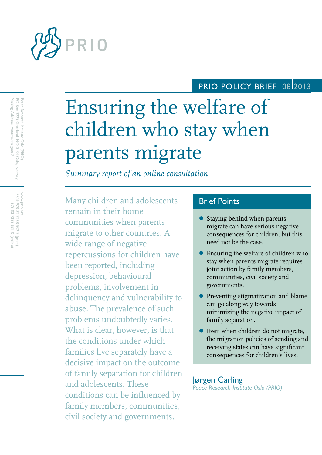

## PRIO POLICY BRIEF 08 2013

# Ensuring the welfare of children who stay when parents migrate

*Summary report of an online consultation*

Many children and adolescents remain in their home communities when parents migrate to other countries. A wide range of negative repercussions for children have been reported, including depression, behavioural problems, involvement in delinquency and vulnerability to abuse. The prevalence of such problems undoubtedly varies. What is clear, however, is that the conditions under which families live separately have a decisive impact on the outcome of family separation for children and adolescents. These conditions can be influenced by family members, communities, civil society and governments.

## Brief Points

- Staying behind when parents migrate can have serious negative consequences for children, but this need not be the case.
- Ensuring the welfare of children who stay when parents migrate requires joint action by family members, communities, civil society and governments.
- **•** Preventing stigmatization and blame can go along way towards minimizing the negative impact of family separation.
- Even when children do not migrate, the migration policies of sending and receiving states can have significant consequences for children's lives.

### Jørgen Carling *Peace Research Institute Oslo (PRIO)*

Visiting Address: Hausmanns gate 7 Visiting Address: Hausmanns gate 7 Peace Research Institute Oslo (PRIO)<br>PO Box 9229 Grønland, NO-0134 Oslo, Norway PO Box 9229 Grønland, NO Peace Research Institute Oslo (PRIO) -0134 Oslo, Norway

www.prio.org<br>|SBN: 978-82-7288-532-7 (print)<br>|SPN: 978-82-7288-531-0 (online) www.prio.org ISBN: 978-82-7288-532-7 (print) 978-82-7288-531-0 (online)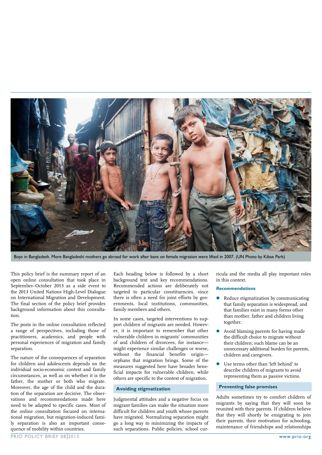

Boys in Bangladesh. More Bangladeshi mothers go abroad for work after bans on female migration were lifted in 2007. (UN Photo by Kibae Park)

This policy brief is the summary report of an open online consultation that took place in September–October 2013 as a side event to the 2013 United Nations High-Level Dialogue on International Migration and Development. The final section of the policy brief provides background information about this consultation.

The posts in the online consultation reflected a range of perspectives, including those of practitioners, academics, and people with personal experiences of migration and family separation.

The nature of the consequences of separation for children and adolescents depends on the individual socio-economic context and family circumstances, as well as on whether it is the father, the mother or both who migrate. Moreover, the age of the child and the duration of the separation are decisive. The observations and recommendations made here need to be adapted to specific cases. Most of the online consultation focused on international migration, but migration-induced family separation is also an important consequence of mobility within countries.

Each heading below is followed by a short background text and key recommendations. Recommended actions are deliberately not targeted to particular constituencies, since there is often a need for joint efforts by governments, local institutions, communities, family members and others.

In some cases, targeted interventions to support children of migrants are needed. However, it is important to remember that other vulnerable children in migrants' communities of and children of divorcees, for instance might experience similar challenges or worse, without the financial benefits originorphans that migration brings. Some of the measures suggested here have broader beneficial impacts for vulnerable children, while others are specific to the context of migration.

#### **Avoiding stigmatization**

Judgmental attitudes and a negative focus on migrant families can make the situation more difficult for children and youth whose parents have migrated. Normalizing separation might go a long way to minimizing the impacts of such separations. Public policies, school cur-

ricula and the media all play important roles in this context.

#### *Recommendations*

- Reduce stigmatization by communicating that family separation is widespread, and that families exist in many forms other than mother, father and children living together.
- Avoid blaming parents for having made the difficult choice to migrate without their children; such blame can be an unnecessary additional burden for parents, children and caregivers.
- Use terms other than 'left behind' to describe children of migrants to avoid representing them as passive victims.

#### **Preventing false promises**

Adults sometimes try to comfort children of migrants by saying that they will soon be reunited with their parents. If children believe that they will shortly be emigrating to join their parents, their motivation for schooling, maintenance of friendships and relationships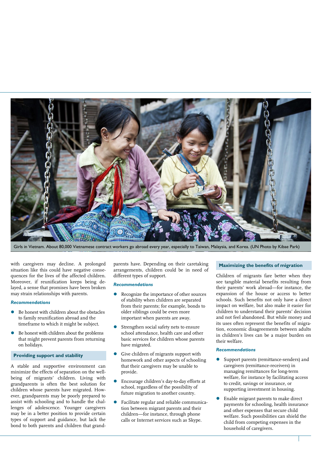

Girls in Vietnam. About 80,000 Vietnamese contract workers go abroad every year, especially to Taiwan, Malaysia, and Korea. (UN Photo by Kibae Park)

with caregivers may decline. A prolonged situation like this could have negative consequences for the lives of the affected children. Moreover, if reunification keeps being delayed, a sense that promises have been broken may strain relationships with parents.

#### *Recommendations*

- Be honest with children about the obstacles to family reunification abroad and the timeframe to which it might be subject.
- Be honest with children about the problems that might prevent parents from returning on holidays.

#### **Providing support and stability**

A stable and supportive environment can minimize the effects of separation on the wellbeing of migrants' children. Living with grandparents is often the best solution for children whose parents have migrated. However, grandparents may be poorly prepared to assist with schooling and to handle the challenges of adolescence. Younger caregivers may be in a better position to provide certain types of support and guidance, but lack the bond to both parents and children that grand-

parents have. Depending on their caretaking arrangements, children could be in need of different types of support.

#### *Recommendations*

- Recognize the importance of other sources of stability when children are separated from their parents; for example, bonds to older siblings could be even more important when parents are away.
- Strengthen social safety nets to ensure school attendance, health care and other basic services for children whose parents have migrated.
- Give children of migrants support with homework and other aspects of schooling that their caregivers may be unable to provide.
- Encourage children's day-to-day efforts at school, regardless of the possibility of future migration to another country.
- Facilitate regular and reliable communication between migrant parents and their children—for instance, through phone calls or Internet services such as Skype.

#### **Maximizing the benefits of migration**

Children of migrants fare better when they see tangible material benefits resulting from their parents' work abroad—for instance, the expansion of the house or access to better schools. Such benefits not only have a direct impact on welfare, but also make it easier for children to understand their parents' decision and not feel abandoned. But while money and its uses often represent the benefits of migration, economic disagreements between adults in children's lives can be a major burden on their welfare.

#### *Recommendations*

- Support parents (remittance-senders) and caregivers (remittance-receivers) in managing remittances for long-term welfare, for instance by facilitating access to credit, savings or insurance, or supporting investment in housing.
- Enable migrant parents to make direct payments for schooling, health insurance and other expenses that secure child welfare. Such possibilities can shield the child from competing expenses in the household of caregivers.